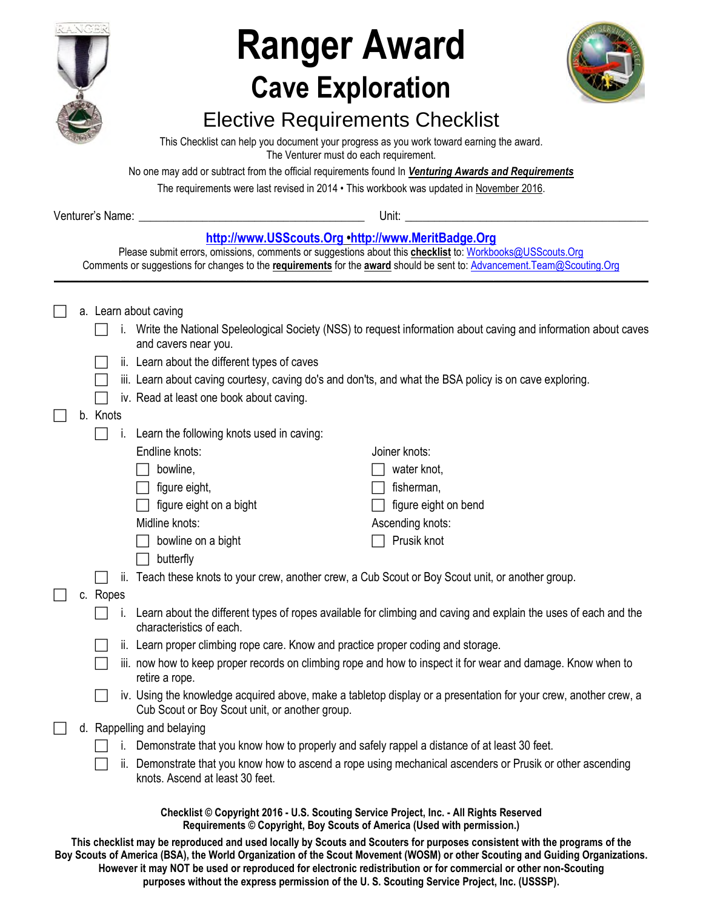

# **Ranger Award Cave Exploration**



## Elective Requirements Checklist

This Checklist can help you document your progress as you work toward earning the award. The Venturer must do each requirement.

No one may add or subtract from the official requirements found In *Venturing Awards and Requirements* 

The requirements were last revised in 2014 • This workbook was updated in November 2016.

| Venturer's Name: | Unit.<br>$\sim$ $\sim$ |
|------------------|------------------------|
|                  |                        |

## **[http://www.USScouts.Org](http://www.usscouts.org/) •[http://www.MeritBadge.Org](http://www.meritbadge.org/)**

Please submit errors, omissions, comments or suggestions about this **checklist** to: [Workbooks@USScouts.Org](mailto:Workbooks@usscouts.org?subject=Merit%20Badge%20Workbooks) Comments or suggestions for changes to the **requirements** for the **award** should be sent to: [Advancement.Team@Scouting.Org](mailto:Advancement.Team@Scouting.Org)

|  |          | a. Learn about caving                                                                          |                                                                                                                   |
|--|----------|------------------------------------------------------------------------------------------------|-------------------------------------------------------------------------------------------------------------------|
|  |          | and cavers near you.                                                                           | i. Write the National Speleological Society (NSS) to request information about caving and information about caves |
|  |          | ii. Learn about the different types of caves                                                   |                                                                                                                   |
|  |          |                                                                                                | iii. Learn about caving courtesy, caving do's and don'ts, and what the BSA policy is on cave exploring.           |
|  |          | iv. Read at least one book about caving.                                                       |                                                                                                                   |
|  | b. Knots |                                                                                                |                                                                                                                   |
|  |          | Learn the following knots used in caving:<br>L.                                                |                                                                                                                   |
|  |          | Endline knots:                                                                                 | Joiner knots:                                                                                                     |
|  |          | bowline,                                                                                       | water knot,                                                                                                       |
|  |          | figure eight,                                                                                  | fisherman,                                                                                                        |
|  |          | figure eight on a bight                                                                        | figure eight on bend                                                                                              |
|  |          | Midline knots:                                                                                 | Ascending knots:                                                                                                  |
|  |          | bowline on a bight                                                                             | Prusik knot                                                                                                       |
|  |          | butterfly                                                                                      |                                                                                                                   |
|  |          | ii.                                                                                            | Teach these knots to your crew, another crew, a Cub Scout or Boy Scout unit, or another group.                    |
|  | c. Ropes |                                                                                                |                                                                                                                   |
|  |          | characteristics of each.                                                                       | Learn about the different types of ropes available for climbing and caving and explain the uses of each and the   |
|  |          | ii. Learn proper climbing rope care. Know and practice proper coding and storage.              |                                                                                                                   |
|  |          | retire a rope.                                                                                 | iii. now how to keep proper records on climbing rope and how to inspect it for wear and damage. Know when to      |
|  |          | Cub Scout or Boy Scout unit, or another group.                                                 | iv. Using the knowledge acquired above, make a tabletop display or a presentation for your crew, another crew, a  |
|  |          | d. Rappelling and belaying                                                                     |                                                                                                                   |
|  |          | i. Demonstrate that you know how to properly and safely rappel a distance of at least 30 feet. |                                                                                                                   |
|  |          | knots. Ascend at least 30 feet.                                                                | ii. Demonstrate that you know how to ascend a rope using mechanical ascenders or Prusik or other ascending        |

**This checklist may be reproduced and used locally by Scouts and Scouters for purposes consistent with the programs of the Boy Scouts of America (BSA), the World Organization of the Scout Movement (WOSM) or other Scouting and Guiding Organizations. However it may NOT be used or reproduced for electronic redistribution or for commercial or other non-Scouting purposes without the express permission of the U. S. Scouting Service Project, Inc. (USSSP).**